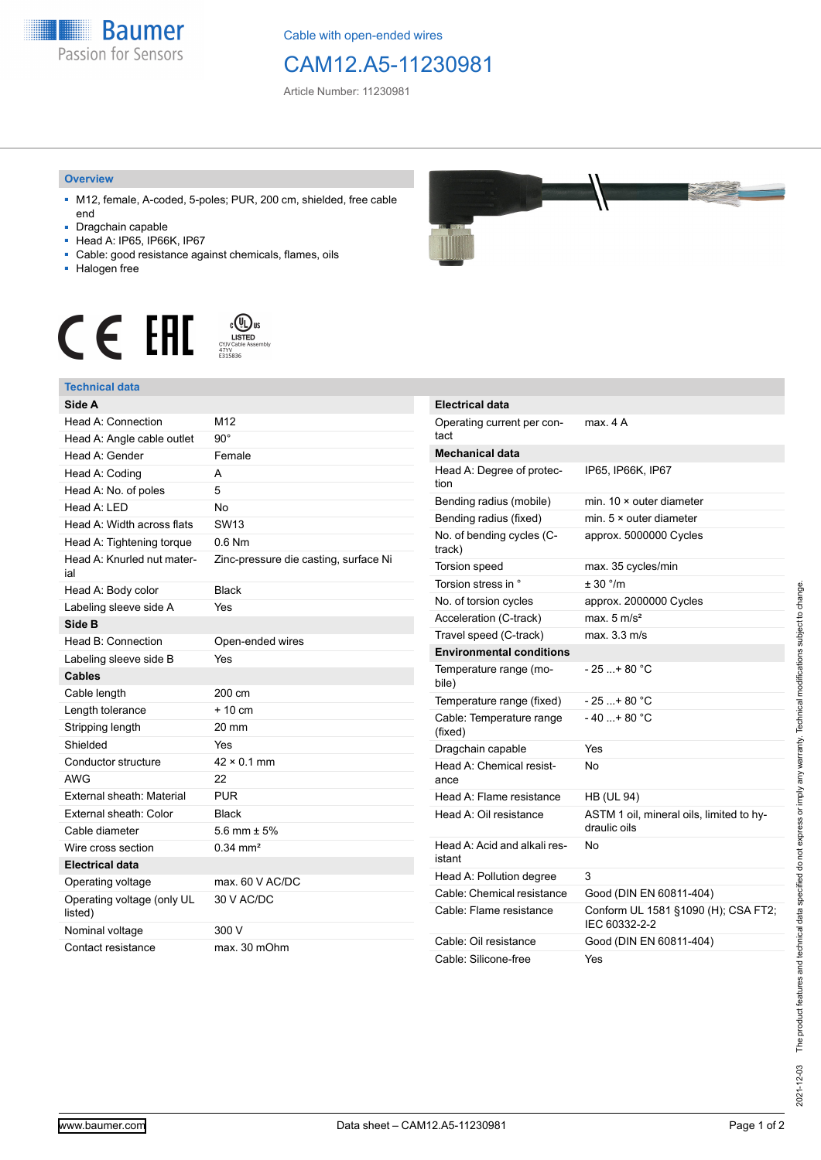

Cable with open-ended wires

## CAM12.A5-11230981

Article Number: 11230981

## **Overview**

- M12, female, A-coded, 5-poles; PUR, 200 cm, shielded, free cable end
- Dragchain capable
- Head A: IP65, IP66K, IP67
- Cable: good resistance against chemicals, flames, oils
- Halogen free





## **Technical data**

| Side A                                |                                       |
|---------------------------------------|---------------------------------------|
| Head A: Connection                    | M12                                   |
| Head A: Angle cable outlet            | $90^\circ$                            |
| Head A: Gender                        | Female                                |
| Head A: Coding                        | A                                     |
| Head A: No. of poles                  | 5                                     |
| Head A: LED                           | <b>No</b>                             |
| Head A: Width across flats            | <b>SW13</b>                           |
| Head A: Tightening torque             | $0.6$ Nm                              |
| Head A: Knurled nut mater-<br>ial     | Zinc-pressure die casting, surface Ni |
| Head A: Body color                    | <b>Black</b>                          |
| Labeling sleeve side A                | Yes                                   |
| Side B                                |                                       |
| Head B: Connection                    | Open-ended wires                      |
| Labeling sleeve side B                | Yes                                   |
| <b>Cables</b>                         |                                       |
| Cable length                          | 200 cm                                |
| Length tolerance                      | + 10 cm                               |
| Stripping length                      | 20 mm                                 |
| Shielded                              | Yes                                   |
| Conductor structure                   | $42 \times 0.1$ mm                    |
| AWG                                   | 22                                    |
| External sheath: Material             | PUR                                   |
| External sheath: Color                | <b>Black</b>                          |
| Cable diameter                        | 5.6 mm $\pm$ 5%                       |
| Wire cross section                    | $0.34 \, \text{mm}^2$                 |
| <b>Electrical data</b>                |                                       |
| Operating voltage                     | max. 60 V AC/DC                       |
| Operating voltage (only UL<br>listed) | 30 V AC/DC                            |
| Nominal voltage                       | 300 V                                 |
| Contact resistance                    | max. 30 mOhm                          |



| Electrical data                        |                                                          |
|----------------------------------------|----------------------------------------------------------|
| Operating current per con-<br>tact     | max 4 A                                                  |
| Mechanical data                        |                                                          |
| Head A: Degree of protec-<br>tion      | IP65, IP66K, IP67                                        |
| Bending radius (mobile)                | min. $10 \times$ outer diameter                          |
| Bending radius (fixed)                 | min. 5 × outer diameter                                  |
| No. of bending cycles (C-<br>track)    | approx. 5000000 Cycles                                   |
| <b>Torsion speed</b>                   | max. 35 cycles/min                                       |
| Torsion stress in °                    | ± 30 °/m                                                 |
| No. of torsion cycles                  | approx. 2000000 Cycles                                   |
| Acceleration (C-track)                 | max $5 \text{ m/s}^2$                                    |
| Travel speed (C-track)                 | max. 3.3 m/s                                             |
| <b>Environmental conditions</b>        |                                                          |
| Temperature range (mo-<br>bile)        | - 25 + 80 °C                                             |
| Temperature range (fixed)              | - 25 + 80 °C                                             |
| Cable: Temperature range<br>(fixed)    | $-40+80 °C$                                              |
| Dragchain capable                      | Yes                                                      |
| Head A: Chemical resist-<br>ance       | No                                                       |
| Head A: Flame resistance               | <b>HB (UL 94)</b>                                        |
| Head A: Oil resistance                 | ASTM 1 oil, mineral oils, limited to hy-<br>draulic oils |
| Head A: Acid and alkali res-<br>istant | No                                                       |
| Head A: Pollution degree               | 3                                                        |
| Cable: Chemical resistance             | Good (DIN EN 60811-404)                                  |
| Cable: Flame resistance                | Conform UL 1581 §1090 (H); CSA FT2;<br>IEC 60332-2-2     |
| Cable: Oil resistance                  | Good (DIN EN 60811-404)                                  |
| Cable: Silicone-free                   | Yes                                                      |